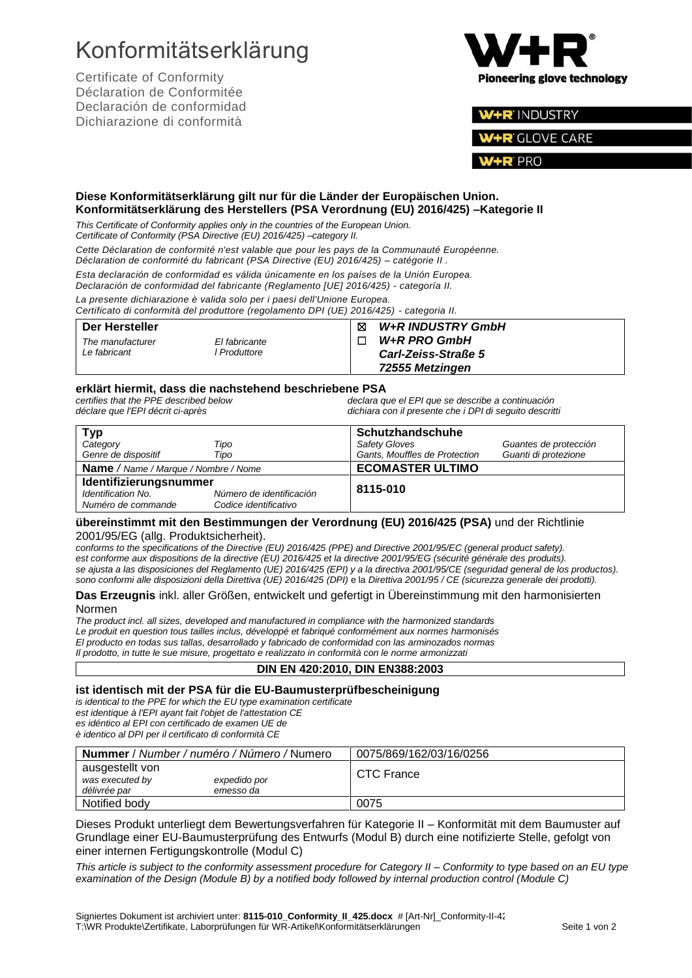# Konformitätserklärung

Certificate of Conformity Déclaration de Conformitée Declaración de conformidad Dichiarazione di conformità



### W+R INDUSTRY

**R** GLOVE CARE

PRO

#### **Diese Konformitätserklärung gilt nur für die Länder der Europäischen Union. Konformitätserklärung des Herstellers (PSA Verordnung (EU) 2016/425) –Kategorie II**

*This Certificate of Conformity applies only in the countries of the European Union.*

*Certificate of Conformity (PSA Directive (EU) 2016/425) –category II.*

*Cette Déclaration de conformité n'est valable que pour les pays de la Communauté Européenne.*

*Déclaration de conformité du fabricant (PSA Directive (EU) 2016/425) – catégorie II .*

*Esta declaración de conformidad es válida únicamente en los países de la Unión Europea.*

*Declaración de conformidad del fabricante (Reglamento [UE] 2016/425) - [categoría](http://browse.dict.cc/spanish-english/categor%C3%ADa.html) II. La presente dichiarazione è valida solo per i paesi dell'Unione Europea.*

*Certificato di conformità del produttore (regolamento DPI (UE) 2016/425) - categoria II.*

#### **Der Hersteller** *The manufacturer El fabricante Le fabricant l Produttore* ☒ *W+R INDUSTRY GmbH*  ☐ *W+R PRO GmbH Carl-Zeiss-Straße 5 72555 Metzingen*

**erklärt hiermit, dass die nachstehend beschriebene PSA** *certifies that the PPE described below declara que el EPI que se describe a continuación déclare que l'EPI décrit ci-après dichiara con il presente che i DPI di seguito descritti*

| <b>Typ</b>                                  |                          | Schutzhandschuhe              |                       |
|---------------------------------------------|--------------------------|-------------------------------|-----------------------|
| Category                                    | Tipo                     | Safety Gloves                 | Guantes de protección |
| Genre de dispositif                         | Tipo                     | Gants, Mouffles de Protection | Guanti di protezione  |
| <b>Name</b> / Name / Marque / Nombre / Nome |                          | <b>ECOMASTER ULTIMO</b>       |                       |
| Identifizierungsnummer                      |                          |                               |                       |
| Identification No.                          | Número de identificación | 8115-010                      |                       |
| Numéro de commande                          | Codice identificativo    |                               |                       |

#### **übereinstimmt mit den Bestimmungen der Verordnung (EU) 2016/425 (PSA)** und der Richtlinie 2001/95/EG (allg. Produktsicherheit).

*conforms to the specifications of the Directive (EU) 2016/425 (PPE) and Directive 2001/95/EC (general product safety). est conforme aux dispositions de la directive (EU) 2016/425 et la directive 2001/95/EG (sécurité générale des produits). se ajusta a las disposiciones del Reglamento (UE) 2016/425 (EPI) y a la directiva 2001/95/CE (seguridad general de los productos). sono conformi alle disposizioni della Direttiva (UE) 2016/425 (DPI)* e la *Direttiva 2001/95 / CE (sicurezza generale dei prodotti).*

#### **Das Erzeugnis** inkl. aller Größen, entwickelt und gefertigt in Übereinstimmung mit den harmonisierten Normen

*The product incl. all sizes, developed and manufactured in compliance with the harmonized standards Le produit en question tous tailles inclus, développé et fabriqué conformément aux normes harmonisés El producto en todas sus tallas, desarrollado y fabricado de conformidad con las arminozados normas Il prodotto, in tutte le sue misure, progettato e realizzato in conformità con le norme armonizzati*

### **DIN EN 420:2010, DIN EN388:2003**

#### **ist identisch mit der PSA für die EU-Baumusterprüfbescheinigung**

*is identical to the PPE for which the EU type examination certificate est identique à l'EPI ayant fait l'objet de l'attestation CE es idéntico al EPI con certificado de examen UE de*

| è identico al DPI per il certificato di conformità CE |  |  |
|-------------------------------------------------------|--|--|
|-------------------------------------------------------|--|--|

| <b>Nummer</b> / Number / numéro / Número / Numero  |                           | 0075/869/162/03/16/0256 |
|----------------------------------------------------|---------------------------|-------------------------|
| ausgestellt von<br>was executed by<br>délivrée par | expedido por<br>emesso da | CTC France              |
| Notified body                                      |                           | 0075                    |

Dieses Produkt unterliegt dem Bewertungsverfahren für Kategorie II – Konformität mit dem Baumuster auf Grundlage einer EU-Baumusterprüfung des Entwurfs (Modul B) durch eine notifizierte Stelle, gefolgt von einer internen Fertigungskontrolle (Modul C)

*This article is subject to the conformity assessment procedure for Category II – Conformity to type based on an EU type examination of the Design (Module B) by a notified body followed by internal production control (Module C)*